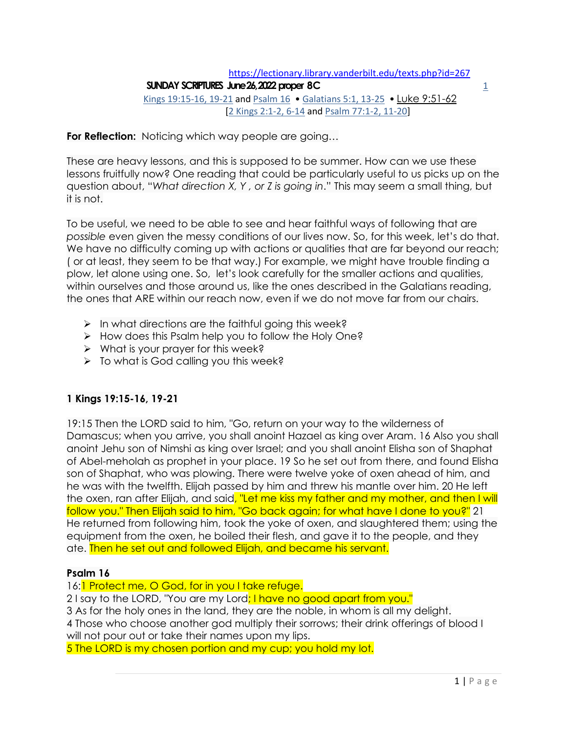# https://lectionary.library.vanderbilt.edu/texts.php?id=267 **SUNDAY SCRIPTURES June 26, 2022 proper 8 C** 1 Kings 19:15-16, 19-21 and Psalm 16 • Galatians 5:1, 13-25 • Luke 9:51-62 [2 Kings 2:1-2, 6-14 and Psalm 77:1-2, 11-20]

**For Reflection:** Noticing which way people are going…

These are heavy lessons, and this is supposed to be summer. How can we use these lessons fruitfully now? One reading that could be particularly useful to us picks up on the question about, "*What direction X, Y , or Z is going in*." This may seem a small thing, but it is not.

To be useful, we need to be able to see and hear faithful ways of following that are *possible* even given the messy conditions of our lives now. So, for this week, let's do that. We have no difficulty coming up with actions or qualities that are far beyond our reach; ( or at least, they seem to be that way.) For example, we might have trouble finding a plow, let alone using one. So, let's look carefully for the smaller actions and qualities, within ourselves and those around us, like the ones described in the Galatians reading, the ones that ARE within our reach now, even if we do not move far from our chairs.

- ➢ In what directions are the faithful going this week?
- ➢ How does this Psalm help you to follow the Holy One?
- $\triangleright$  What is your prayer for this week?
- ➢ To what is God calling you this week?

# **1 Kings 19:15-16, 19-21**

19:15 Then the LORD said to him, "Go, return on your way to the wilderness of Damascus; when you arrive, you shall anoint Hazael as king over Aram. 16 Also you shall anoint Jehu son of Nimshi as king over Israel; and you shall anoint Elisha son of Shaphat of Abel-meholah as prophet in your place. 19 So he set out from there, and found Elisha son of Shaphat, who was plowing. There were twelve yoke of oxen ahead of him, and he was with the twelfth. Elijah passed by him and threw his mantle over him. 20 He left the oxen, ran after Elijah, and said, "Let me kiss my father and my mother, and then I will follow you." Then Elijah said to him, "Go back again; for what have I done to you?" 21 He returned from following him, took the yoke of oxen, and slaughtered them; using the equipment from the oxen, he boiled their flesh, and gave it to the people, and they ate. Then he set out and followed Elijah, and became his servant.

#### **Psalm 16**

16:1 Protect me, O God, for in you I take refuge.

2 I say to the LORD, "You are my Lord; I have no good apart from you."

3 As for the holy ones in the land, they are the noble, in whom is all my delight. 4 Those who choose another god multiply their sorrows; their drink offerings of blood I will not pour out or take their names upon my lips.

5 The LORD is my chosen portion and my cup; you hold my lot.